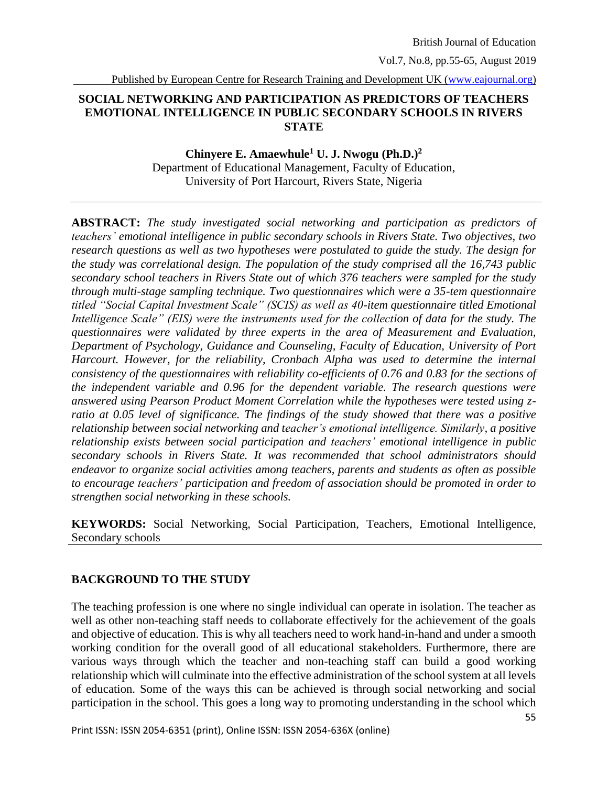Vol.7, No.8, pp.55-65, August 2019

Published by European Centre for Research Training and Development UK [\(www.eajournal.org\)](http://www.eajournal.org/)

### **SOCIAL NETWORKING AND PARTICIPATION AS PREDICTORS OF TEACHERS EMOTIONAL INTELLIGENCE IN PUBLIC SECONDARY SCHOOLS IN RIVERS STATE**

### **Chinyere E. Amaewhule<sup>1</sup> U. J. Nwogu (Ph.D.)<sup>2</sup>** Department of Educational Management, Faculty of Education, University of Port Harcourt, Rivers State, Nigeria

**ABSTRACT:** *The study investigated social networking and participation as predictors of teachers' emotional intelligence in public secondary schools in Rivers State. Two objectives, two research questions as well as two hypotheses were postulated to guide the study. The design for the study was correlational design. The population of the study comprised all the 16,743 public secondary school teachers in Rivers State out of which 376 teachers were sampled for the study through multi-stage sampling technique. Two questionnaires which were a 35-tem questionnaire titled "Social Capital Investment Scale" (SCIS) as well as 40-item questionnaire titled Emotional Intelligence Scale" (EIS) were the instruments used for the collection of data for the study. The questionnaires were validated by three experts in the area of Measurement and Evaluation, Department of Psychology, Guidance and Counseling, Faculty of Education, University of Port Harcourt. However, for the reliability, Cronbach Alpha was used to determine the internal consistency of the questionnaires with reliability co-efficients of 0.76 and 0.83 for the sections of the independent variable and 0.96 for the dependent variable. The research questions were answered using Pearson Product Moment Correlation while the hypotheses were tested using zratio at 0.05 level of significance. The findings of the study showed that there was a positive relationship between social networking and teacher's emotional intelligence. Similarly, a positive relationship exists between social participation and teachers' emotional intelligence in public secondary schools in Rivers State. It was recommended that school administrators should endeavor to organize social activities among teachers, parents and students as often as possible to encourage teachers' participation and freedom of association should be promoted in order to strengthen social networking in these schools.*

**KEYWORDS:** Social Networking, Social Participation, Teachers, Emotional Intelligence, Secondary schools

## **BACKGROUND TO THE STUDY**

The teaching profession is one where no single individual can operate in isolation. The teacher as well as other non-teaching staff needs to collaborate effectively for the achievement of the goals and objective of education. This is why all teachers need to work hand-in-hand and under a smooth working condition for the overall good of all educational stakeholders. Furthermore, there are various ways through which the teacher and non-teaching staff can build a good working relationship which will culminate into the effective administration of the school system at all levels of education. Some of the ways this can be achieved is through social networking and social participation in the school. This goes a long way to promoting understanding in the school which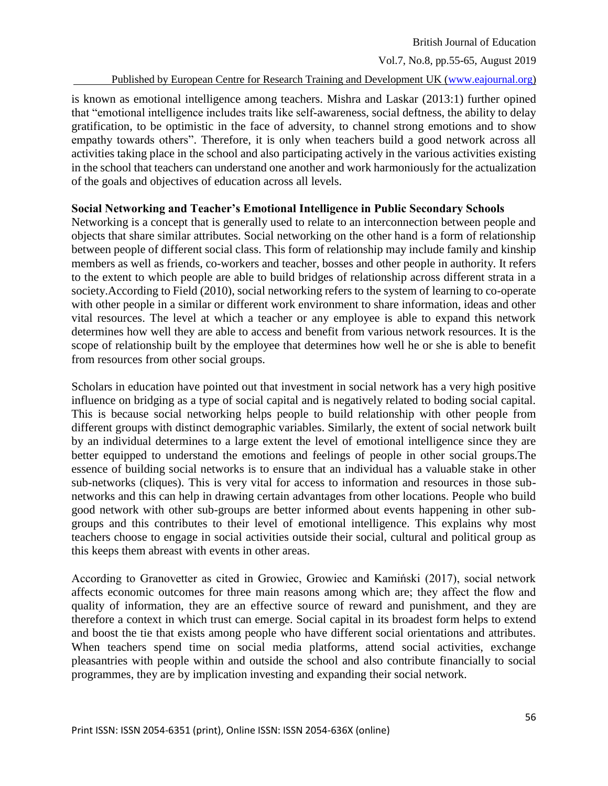Vol.7, No.8, pp.55-65, August 2019

Published by European Centre for Research Training and Development UK [\(www.eajournal.org\)](http://www.eajournal.org/)

is known as emotional intelligence among teachers. Mishra and Laskar (2013:1) further opined that "emotional intelligence includes traits like self-awareness, social deftness, the ability to delay gratification, to be optimistic in the face of adversity, to channel strong emotions and to show empathy towards others". Therefore, it is only when teachers build a good network across all activities taking place in the school and also participating actively in the various activities existing in the school that teachers can understand one another and work harmoniously for the actualization of the goals and objectives of education across all levels.

### **Social Networking and Teacher's Emotional Intelligence in Public Secondary Schools**

Networking is a concept that is generally used to relate to an interconnection between people and objects that share similar attributes. Social networking on the other hand is a form of relationship between people of different social class. This form of relationship may include family and kinship members as well as friends, co-workers and teacher, bosses and other people in authority. It refers to the extent to which people are able to build bridges of relationship across different strata in a society.According to Field (2010), social networking refers to the system of learning to co-operate with other people in a similar or different work environment to share information, ideas and other vital resources. The level at which a teacher or any employee is able to expand this network determines how well they are able to access and benefit from various network resources. It is the scope of relationship built by the employee that determines how well he or she is able to benefit from resources from other social groups.

Scholars in education have pointed out that investment in social network has a very high positive influence on bridging as a type of social capital and is negatively related to boding social capital. This is because social networking helps people to build relationship with other people from different groups with distinct demographic variables. Similarly, the extent of social network built by an individual determines to a large extent the level of emotional intelligence since they are better equipped to understand the emotions and feelings of people in other social groups.The essence of building social networks is to ensure that an individual has a valuable stake in other sub-networks (cliques). This is very vital for access to information and resources in those subnetworks and this can help in drawing certain advantages from other locations. People who build good network with other sub-groups are better informed about events happening in other subgroups and this contributes to their level of emotional intelligence. This explains why most teachers choose to engage in social activities outside their social, cultural and political group as this keeps them abreast with events in other areas.

According to Granovetter as cited in Growiec, Growiec and Kamiński (2017), social network affects economic outcomes for three main reasons among which are; they affect the flow and quality of information, they are an effective source of reward and punishment, and they are therefore a context in which trust can emerge. Social capital in its broadest form helps to extend and boost the tie that exists among people who have different social orientations and attributes. When teachers spend time on social media platforms, attend social activities, exchange pleasantries with people within and outside the school and also contribute financially to social programmes, they are by implication investing and expanding their social network.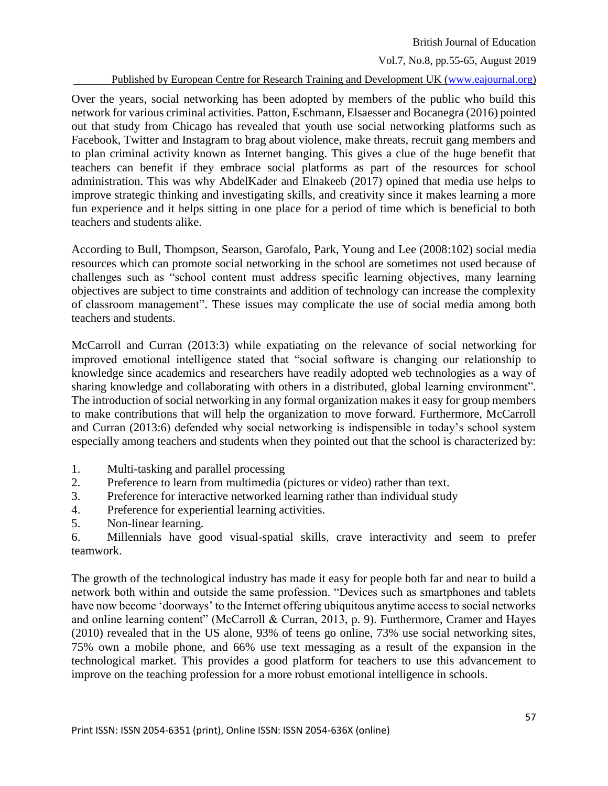Vol.7, No.8, pp.55-65, August 2019

Published by European Centre for Research Training and Development UK [\(www.eajournal.org\)](http://www.eajournal.org/)

Over the years, social networking has been adopted by members of the public who build this network for various criminal activities. Patton, Eschmann, Elsaesser and Bocanegra (2016) pointed out that study from Chicago has revealed that youth use social networking platforms such as Facebook, Twitter and Instagram to brag about violence, make threats, recruit gang members and to plan criminal activity known as Internet banging. This gives a clue of the huge benefit that teachers can benefit if they embrace social platforms as part of the resources for school administration. This was why AbdelKader and Elnakeeb (2017) opined that media use helps to improve strategic thinking and investigating skills, and creativity since it makes learning a more fun experience and it helps sitting in one place for a period of time which is beneficial to both teachers and students alike.

According to Bull, Thompson, Searson, Garofalo, Park, Young and Lee (2008:102) social media resources which can promote social networking in the school are sometimes not used because of challenges such as "school content must address specific learning objectives, many learning objectives are subject to time constraints and addition of technology can increase the complexity of classroom management". These issues may complicate the use of social media among both teachers and students.

McCarroll and Curran (2013:3) while expatiating on the relevance of social networking for improved emotional intelligence stated that "social software is changing our relationship to knowledge since academics and researchers have readily adopted web technologies as a way of sharing knowledge and collaborating with others in a distributed, global learning environment". The introduction of social networking in any formal organization makes it easy for group members to make contributions that will help the organization to move forward. Furthermore, McCarroll and Curran (2013:6) defended why social networking is indispensible in today's school system especially among teachers and students when they pointed out that the school is characterized by:

- 1. Multi-tasking and parallel processing
- 2. Preference to learn from multimedia (pictures or video) rather than text.
- 3. Preference for interactive networked learning rather than individual study
- 4. Preference for experiential learning activities.
- 5. Non-linear learning.

6. Millennials have good visual-spatial skills, crave interactivity and seem to prefer teamwork.

The growth of the technological industry has made it easy for people both far and near to build a network both within and outside the same profession. "Devices such as smartphones and tablets have now become 'doorways' to the Internet offering ubiquitous anytime access to social networks and online learning content" (McCarroll & Curran, 2013, p. 9). Furthermore, Cramer and Hayes (2010) revealed that in the US alone, 93% of teens go online, 73% use social networking sites, 75% own a mobile phone, and 66% use text messaging as a result of the expansion in the technological market. This provides a good platform for teachers to use this advancement to improve on the teaching profession for a more robust emotional intelligence in schools.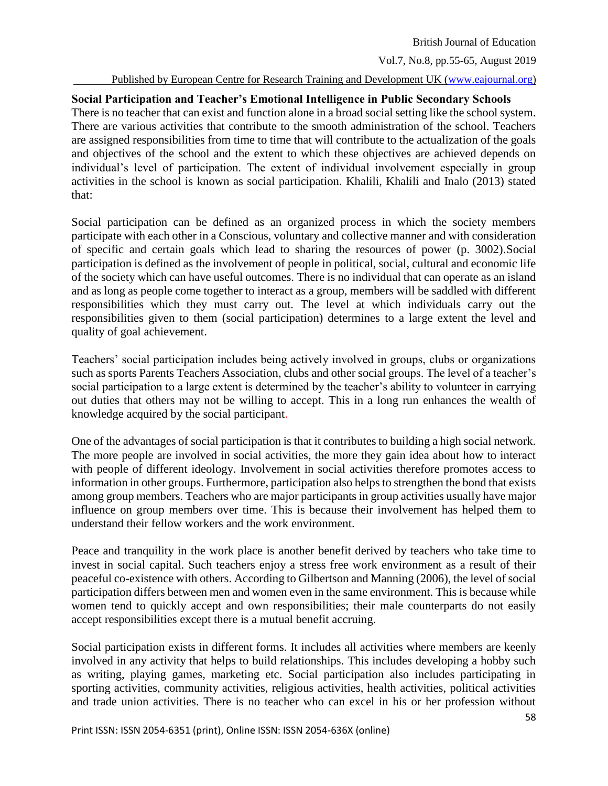Vol.7, No.8, pp.55-65, August 2019

#### Published by European Centre for Research Training and Development UK [\(www.eajournal.org\)](http://www.eajournal.org/)

### **Social Participation and Teacher's Emotional Intelligence in Public Secondary Schools**

There is no teacher that can exist and function alone in a broad social setting like the school system. There are various activities that contribute to the smooth administration of the school. Teachers are assigned responsibilities from time to time that will contribute to the actualization of the goals and objectives of the school and the extent to which these objectives are achieved depends on individual's level of participation. The extent of individual involvement especially in group activities in the school is known as social participation. Khalili, Khalili and Inalo (2013) stated that:

Social participation can be defined as an organized process in which the society members participate with each other in a Conscious, voluntary and collective manner and with consideration of specific and certain goals which lead to sharing the resources of power (p. 3002).Social participation is defined as the involvement of people in political, social, cultural and economic life of the society which can have useful outcomes. There is no individual that can operate as an island and as long as people come together to interact as a group, members will be saddled with different responsibilities which they must carry out. The level at which individuals carry out the responsibilities given to them (social participation) determines to a large extent the level and quality of goal achievement.

Teachers' social participation includes being actively involved in groups, clubs or organizations such as sports Parents Teachers Association, clubs and other social groups. The level of a teacher's social participation to a large extent is determined by the teacher's ability to volunteer in carrying out duties that others may not be willing to accept. This in a long run enhances the wealth of knowledge acquired by the social participant.

One of the advantages of social participation is that it contributes to building a high social network. The more people are involved in social activities, the more they gain idea about how to interact with people of different ideology. Involvement in social activities therefore promotes access to information in other groups. Furthermore, participation also helps to strengthen the bond that exists among group members. Teachers who are major participants in group activities usually have major influence on group members over time. This is because their involvement has helped them to understand their fellow workers and the work environment.

Peace and tranquility in the work place is another benefit derived by teachers who take time to invest in social capital. Such teachers enjoy a stress free work environment as a result of their peaceful co-existence with others. According to Gilbertson and Manning (2006), the level of social participation differs between men and women even in the same environment. This is because while women tend to quickly accept and own responsibilities; their male counterparts do not easily accept responsibilities except there is a mutual benefit accruing.

Social participation exists in different forms. It includes all activities where members are keenly involved in any activity that helps to build relationships. This includes developing a hobby such as writing, playing games, marketing etc. Social participation also includes participating in sporting activities, community activities, religious activities, health activities, political activities and trade union activities. There is no teacher who can excel in his or her profession without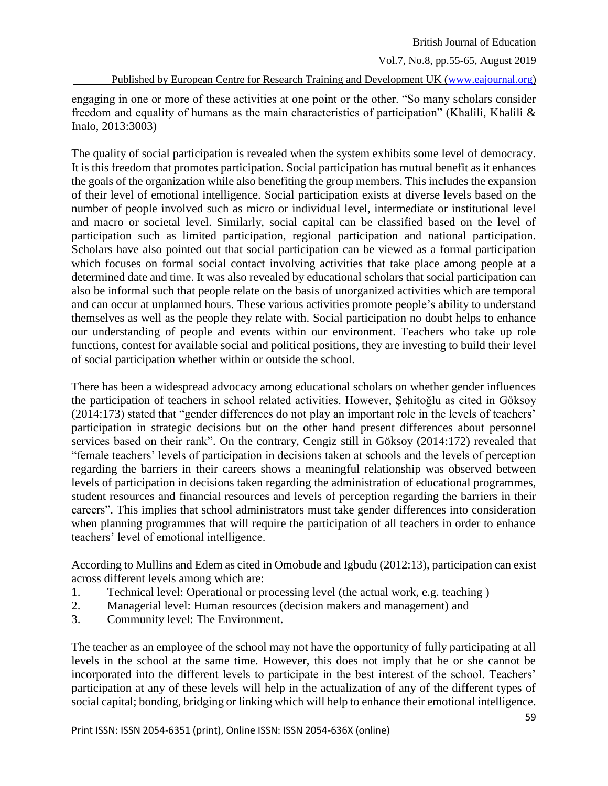Vol.7, No.8, pp.55-65, August 2019

Published by European Centre for Research Training and Development UK [\(www.eajournal.org\)](http://www.eajournal.org/)

engaging in one or more of these activities at one point or the other. "So many scholars consider freedom and equality of humans as the main characteristics of participation" (Khalili, Khalili & Inalo, 2013:3003)

The quality of social participation is revealed when the system exhibits some level of democracy. It is this freedom that promotes participation. Social participation has mutual benefit as it enhances the goals of the organization while also benefiting the group members. This includes the expansion of their level of emotional intelligence. Social participation exists at diverse levels based on the number of people involved such as micro or individual level, intermediate or institutional level and macro or societal level. Similarly, social capital can be classified based on the level of participation such as limited participation, regional participation and national participation. Scholars have also pointed out that social participation can be viewed as a formal participation which focuses on formal social contact involving activities that take place among people at a determined date and time. It was also revealed by educational scholars that social participation can also be informal such that people relate on the basis of unorganized activities which are temporal and can occur at unplanned hours. These various activities promote people's ability to understand themselves as well as the people they relate with. Social participation no doubt helps to enhance our understanding of people and events within our environment. Teachers who take up role functions, contest for available social and political positions, they are investing to build their level of social participation whether within or outside the school.

There has been a widespread advocacy among educational scholars on whether gender influences the participation of teachers in school related activities. However, Şehitoğlu as cited in Göksoy (2014:173) stated that "gender differences do not play an important role in the levels of teachers' participation in strategic decisions but on the other hand present differences about personnel services based on their rank". On the contrary, Cengiz still in Göksoy (2014:172) revealed that "female teachers' levels of participation in decisions taken at schools and the levels of perception regarding the barriers in their careers shows a meaningful relationship was observed between levels of participation in decisions taken regarding the administration of educational programmes, student resources and financial resources and levels of perception regarding the barriers in their careers". This implies that school administrators must take gender differences into consideration when planning programmes that will require the participation of all teachers in order to enhance teachers' level of emotional intelligence.

According to Mullins and Edem as cited in Omobude and Igbudu (2012:13), participation can exist across different levels among which are:

- 1. Technical level: Operational or processing level (the actual work, e.g. teaching )
- 2. Managerial level: Human resources (decision makers and management) and
- 3. Community level: The Environment.

The teacher as an employee of the school may not have the opportunity of fully participating at all levels in the school at the same time. However, this does not imply that he or she cannot be incorporated into the different levels to participate in the best interest of the school. Teachers' participation at any of these levels will help in the actualization of any of the different types of social capital; bonding, bridging or linking which will help to enhance their emotional intelligence.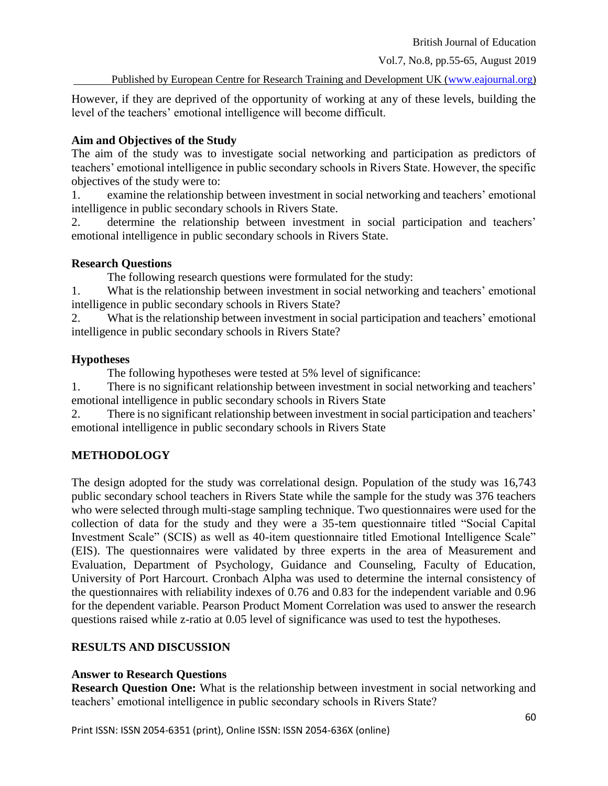Vol.7, No.8, pp.55-65, August 2019

Published by European Centre for Research Training and Development UK [\(www.eajournal.org\)](http://www.eajournal.org/)

However, if they are deprived of the opportunity of working at any of these levels, building the level of the teachers' emotional intelligence will become difficult.

### **Aim and Objectives of the Study**

The aim of the study was to investigate social networking and participation as predictors of teachers' emotional intelligence in public secondary schools in Rivers State. However, the specific objectives of the study were to:

1. examine the relationship between investment in social networking and teachers' emotional intelligence in public secondary schools in Rivers State.

2. determine the relationship between investment in social participation and teachers' emotional intelligence in public secondary schools in Rivers State.

### **Research Questions**

The following research questions were formulated for the study:

1. What is the relationship between investment in social networking and teachers' emotional intelligence in public secondary schools in Rivers State?

2. What is the relationship between investment in social participation and teachers' emotional intelligence in public secondary schools in Rivers State?

## **Hypotheses**

The following hypotheses were tested at 5% level of significance:

1. There is no significant relationship between investment in social networking and teachers' emotional intelligence in public secondary schools in Rivers State

2. There is no significant relationship between investment in social participation and teachers' emotional intelligence in public secondary schools in Rivers State

# **METHODOLOGY**

The design adopted for the study was correlational design. Population of the study was 16,743 public secondary school teachers in Rivers State while the sample for the study was 376 teachers who were selected through multi-stage sampling technique. Two questionnaires were used for the collection of data for the study and they were a 35-tem questionnaire titled "Social Capital Investment Scale" (SCIS) as well as 40-item questionnaire titled Emotional Intelligence Scale" (EIS). The questionnaires were validated by three experts in the area of Measurement and Evaluation, Department of Psychology, Guidance and Counseling, Faculty of Education, University of Port Harcourt. Cronbach Alpha was used to determine the internal consistency of the questionnaires with reliability indexes of 0.76 and 0.83 for the independent variable and 0.96 for the dependent variable. Pearson Product Moment Correlation was used to answer the research questions raised while z-ratio at 0.05 level of significance was used to test the hypotheses.

## **RESULTS AND DISCUSSION**

## **Answer to Research Questions**

**Research Question One:** What is the relationship between investment in social networking and teachers' emotional intelligence in public secondary schools in Rivers State?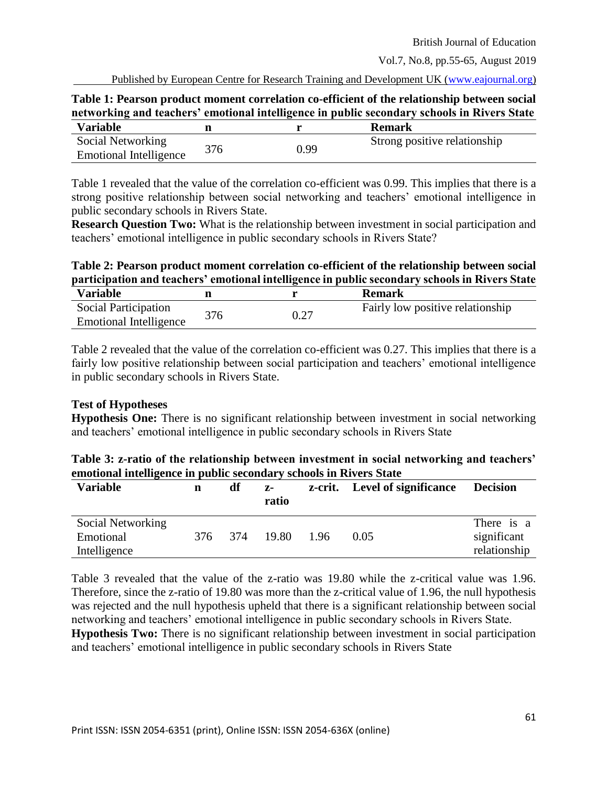Vol.7, No.8, pp.55-65, August 2019

Published by European Centre for Research Training and Development UK [\(www.eajournal.org\)](http://www.eajournal.org/)

| Table 1: Pearson product moment correlation co-efficient of the relationship between social |  |  |
|---------------------------------------------------------------------------------------------|--|--|
| networking and teachers' emotional intelligence in public secondary schools in Rivers State |  |  |
|                                                                                             |  |  |

| <b>Variable</b>        |     |      | Remark                       |
|------------------------|-----|------|------------------------------|
| Social Networking      |     |      | Strong positive relationship |
| Emotional Intelligence | 376 | 0.99 |                              |

Table 1 revealed that the value of the correlation co-efficient was 0.99. This implies that there is a strong positive relationship between social networking and teachers' emotional intelligence in public secondary schools in Rivers State.

**Research Question Two:** What is the relationship between investment in social participation and teachers' emotional intelligence in public secondary schools in Rivers State?

# **Table 2: Pearson product moment correlation co-efficient of the relationship between social participation and teachers' emotional intelligence in public secondary schools in Rivers State**

| <b>Variable</b>               |     | <b>Remark</b>                    |
|-------------------------------|-----|----------------------------------|
| Social Participation          | 376 | Fairly low positive relationship |
| <b>Emotional Intelligence</b> |     |                                  |

Table 2 revealed that the value of the correlation co-efficient was 0.27. This implies that there is a fairly low positive relationship between social participation and teachers' emotional intelligence in public secondary schools in Rivers State.

## **Test of Hypotheses**

**Hypothesis One:** There is no significant relationship between investment in social networking and teachers' emotional intelligence in public secondary schools in Rivers State

| Table 3: z-ratio of the relationship between investment in social networking and teachers' |  |
|--------------------------------------------------------------------------------------------|--|
| emotional intelligence in public secondary schools in Rivers State                         |  |

| <b>Variable</b>   | n       | df | z-<br>ratio |      | z-crit. Level of significance | <b>Decision</b> |
|-------------------|---------|----|-------------|------|-------------------------------|-----------------|
| Social Networking |         |    |             |      |                               | There is a      |
| Emotional         | 376 374 |    | 19.80       | 1.96 | 0.05                          | significant     |
| Intelligence      |         |    |             |      |                               | relationship    |

Table 3 revealed that the value of the z-ratio was 19.80 while the z-critical value was 1.96. Therefore, since the z-ratio of 19.80 was more than the z-critical value of 1.96, the null hypothesis was rejected and the null hypothesis upheld that there is a significant relationship between social networking and teachers' emotional intelligence in public secondary schools in Rivers State. **Hypothesis Two:** There is no significant relationship between investment in social participation and teachers' emotional intelligence in public secondary schools in Rivers State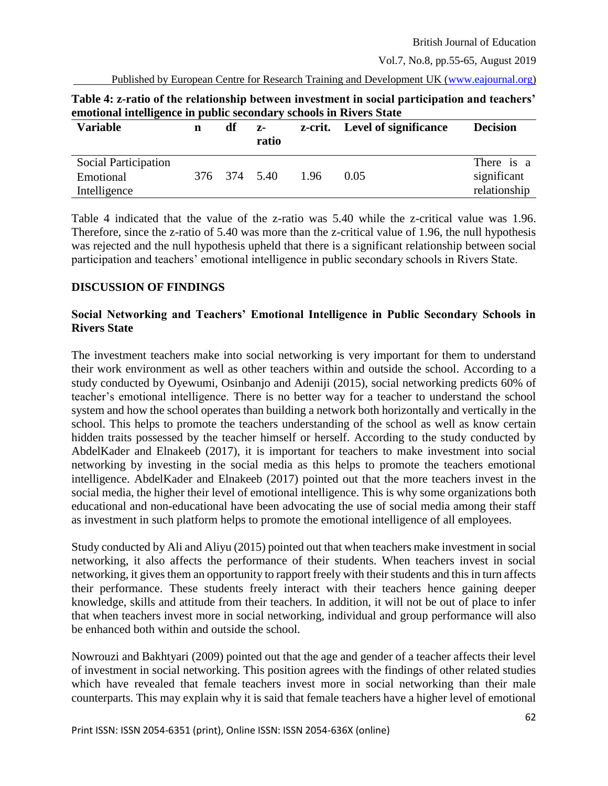Vol.7, No.8, pp.55-65, August 2019

Published by European Centre for Research Training and Development UK [\(www.eajournal.org\)](http://www.eajournal.org/)

| emononal intemgence in public secondal y schools in Kivers State |   |    |               |      |                               |                                           |
|------------------------------------------------------------------|---|----|---------------|------|-------------------------------|-------------------------------------------|
| <b>Variable</b>                                                  | n | df | $Z-$<br>ratio |      | z-crit. Level of significance | <b>Decision</b>                           |
| <b>Social Participation</b><br>Emotional<br>Intelligence         |   |    | 376 374 5.40  | 1.96 | 0.05                          | There is a<br>significant<br>relationship |

**Table 4: z-ratio of the relationship between investment in social participation and teachers' emotional intelligence in public secondary schools in Rivers State**

Table 4 indicated that the value of the z-ratio was 5.40 while the z-critical value was 1.96. Therefore, since the z-ratio of 5.40 was more than the z-critical value of 1.96, the null hypothesis was rejected and the null hypothesis upheld that there is a significant relationship between social participation and teachers' emotional intelligence in public secondary schools in Rivers State.

#### **DISCUSSION OF FINDINGS**

### **Social Networking and Teachers' Emotional Intelligence in Public Secondary Schools in Rivers State**

The investment teachers make into social networking is very important for them to understand their work environment as well as other teachers within and outside the school. According to a study conducted by Oyewumi, Osinbanjo and Adeniji (2015), social networking predicts 60% of teacher's emotional intelligence. There is no better way for a teacher to understand the school system and how the school operates than building a network both horizontally and vertically in the school. This helps to promote the teachers understanding of the school as well as know certain hidden traits possessed by the teacher himself or herself. According to the study conducted by AbdelKader and Elnakeeb (2017), it is important for teachers to make investment into social networking by investing in the social media as this helps to promote the teachers emotional intelligence. AbdelKader and Elnakeeb (2017) pointed out that the more teachers invest in the social media, the higher their level of emotional intelligence. This is why some organizations both educational and non-educational have been advocating the use of social media among their staff as investment in such platform helps to promote the emotional intelligence of all employees.

Study conducted by Ali and Aliyu (2015) pointed out that when teachers make investment in social networking, it also affects the performance of their students. When teachers invest in social networking, it gives them an opportunity to rapport freely with their students and this in turn affects their performance. These students freely interact with their teachers hence gaining deeper knowledge, skills and attitude from their teachers. In addition, it will not be out of place to infer that when teachers invest more in social networking, individual and group performance will also be enhanced both within and outside the school.

Nowrouzi and Bakhtyari (2009) pointed out that the age and gender of a teacher affects their level of investment in social networking. This position agrees with the findings of other related studies which have revealed that female teachers invest more in social networking than their male counterparts. This may explain why it is said that female teachers have a higher level of emotional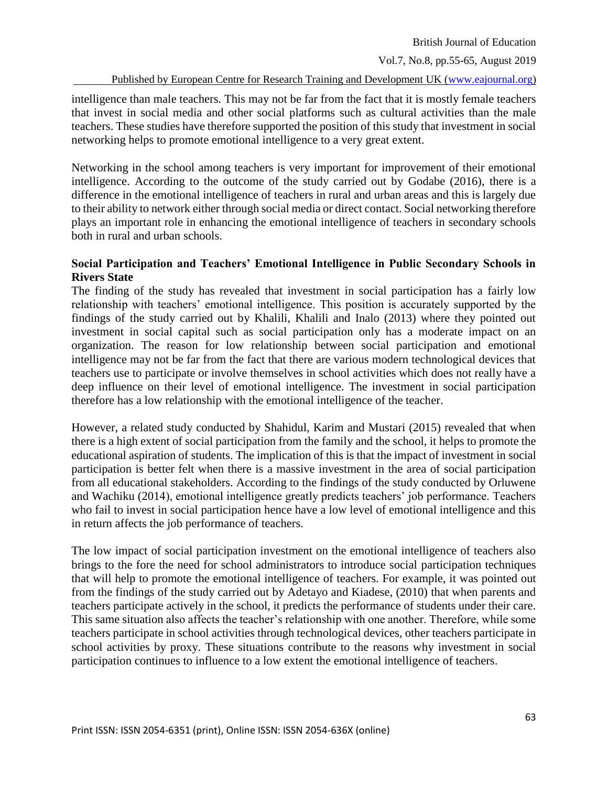Vol.7, No.8, pp.55-65, August 2019

Published by European Centre for Research Training and Development UK [\(www.eajournal.org\)](http://www.eajournal.org/)

intelligence than male teachers. This may not be far from the fact that it is mostly female teachers that invest in social media and other social platforms such as cultural activities than the male teachers. These studies have therefore supported the position of this study that investment in social networking helps to promote emotional intelligence to a very great extent.

Networking in the school among teachers is very important for improvement of their emotional intelligence. According to the outcome of the study carried out by Godabe (2016), there is a difference in the emotional intelligence of teachers in rural and urban areas and this is largely due to their ability to network either through social media or direct contact. Social networking therefore plays an important role in enhancing the emotional intelligence of teachers in secondary schools both in rural and urban schools.

### **Social Participation and Teachers' Emotional Intelligence in Public Secondary Schools in Rivers State**

The finding of the study has revealed that investment in social participation has a fairly low relationship with teachers' emotional intelligence. This position is accurately supported by the findings of the study carried out by Khalili, Khalili and Inalo (2013) where they pointed out investment in social capital such as social participation only has a moderate impact on an organization. The reason for low relationship between social participation and emotional intelligence may not be far from the fact that there are various modern technological devices that teachers use to participate or involve themselves in school activities which does not really have a deep influence on their level of emotional intelligence. The investment in social participation therefore has a low relationship with the emotional intelligence of the teacher.

However, a related study conducted by Shahidul, Karim and Mustari (2015) revealed that when there is a high extent of social participation from the family and the school, it helps to promote the educational aspiration of students. The implication of this is that the impact of investment in social participation is better felt when there is a massive investment in the area of social participation from all educational stakeholders. According to the findings of the study conducted by Orluwene and Wachiku (2014), emotional intelligence greatly predicts teachers' job performance. Teachers who fail to invest in social participation hence have a low level of emotional intelligence and this in return affects the job performance of teachers.

The low impact of social participation investment on the emotional intelligence of teachers also brings to the fore the need for school administrators to introduce social participation techniques that will help to promote the emotional intelligence of teachers. For example, it was pointed out from the findings of the study carried out by Adetayo and Kiadese, (2010) that when parents and teachers participate actively in the school, it predicts the performance of students under their care. This same situation also affects the teacher's relationship with one another. Therefore, while some teachers participate in school activities through technological devices, other teachers participate in school activities by proxy. These situations contribute to the reasons why investment in social participation continues to influence to a low extent the emotional intelligence of teachers.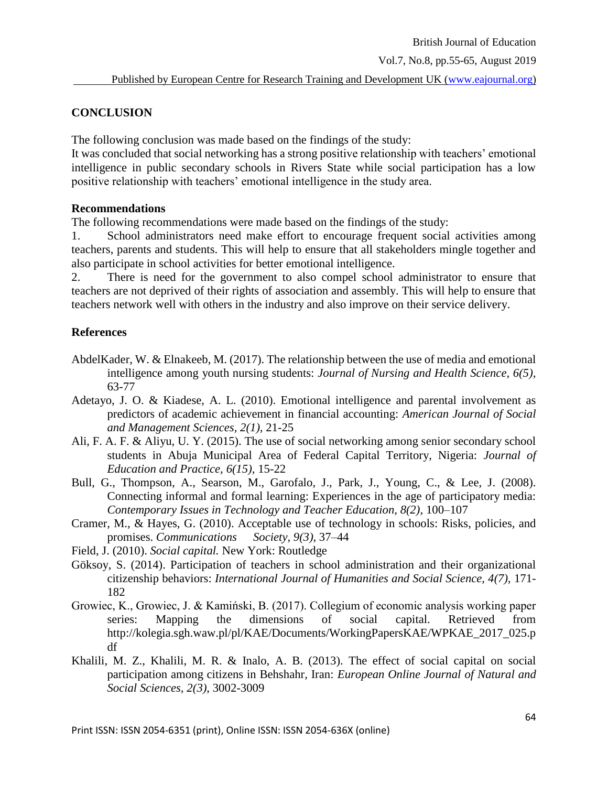Vol.7, No.8, pp.55-65, August 2019

#### **CONCLUSION**

The following conclusion was made based on the findings of the study:

It was concluded that social networking has a strong positive relationship with teachers' emotional intelligence in public secondary schools in Rivers State while social participation has a low positive relationship with teachers' emotional intelligence in the study area.

#### **Recommendations**

The following recommendations were made based on the findings of the study:

1. School administrators need make effort to encourage frequent social activities among teachers, parents and students. This will help to ensure that all stakeholders mingle together and also participate in school activities for better emotional intelligence.

2. There is need for the government to also compel school administrator to ensure that teachers are not deprived of their rights of association and assembly. This will help to ensure that teachers network well with others in the industry and also improve on their service delivery.

#### **References**

- AbdelKader, W. & Elnakeeb, M. (2017). The relationship between the use of media and emotional intelligence among youth nursing students: *Journal of Nursing and Health Science, 6(5),*  63-77
- Adetayo, J. O. & Kiadese, A. L. (2010). Emotional intelligence and parental involvement as predictors of academic achievement in financial accounting: *American Journal of Social and Management Sciences, 2(1),* 21-25
- Ali, F. A. F. & Aliyu, U. Y. (2015). The use of social networking among senior secondary school students in Abuja Municipal Area of Federal Capital Territory, Nigeria: *Journal of Education and Practice, 6(15),* 15-22
- Bull, G., Thompson, A., Searson, M., Garofalo, J., Park, J., Young, C., & Lee, J. (2008). Connecting informal and formal learning: Experiences in the age of participatory media: *Contemporary Issues in Technology and Teacher Education, 8(2),* 100–107
- Cramer, M., & Hayes, G. (2010). Acceptable use of technology in schools: Risks, policies, and promises. *Communications Society, 9(3),* 37–44
- Field, J. (2010). *Social capital.* New York: Routledge
- Göksoy, S. (2014). Participation of teachers in school administration and their organizational citizenship behaviors: *International Journal of Humanities and Social Science, 4(7),* 171- 182
- Growiec, K., Growiec, J. & Kamiński, B. (2017). Collegium of economic analysis working paper series: Mapping the dimensions of social capital. Retrieved from [http://kolegia.sgh.waw.pl/pl/KAE/Documents/WorkingPapersKAE/WPKAE\\_2017\\_025.p](http://kolegia.sgh.waw.pl/pl/KAE/Documents/WorkingPapersKAE/WPKAE_2017_025.pdf) [df](http://kolegia.sgh.waw.pl/pl/KAE/Documents/WorkingPapersKAE/WPKAE_2017_025.pdf)
- Khalili, M. Z., Khalili, M. R. & Inalo, A. B. (2013). The effect of social capital on social participation among citizens in Behshahr, Iran: *European Online Journal of Natural and Social Sciences, 2(3),* 3002-3009